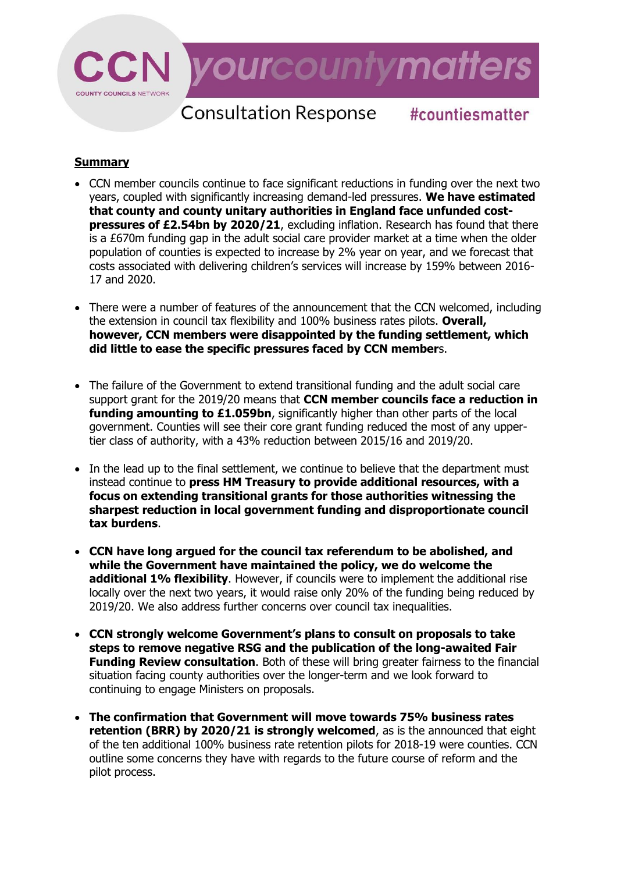

# **Consultation Response #countiesmatter**

# **Summary**

- CCN member councils continue to face significant reductions in funding over the next two years, coupled with significantly increasing demand-led pressures. **We have estimated that county and county unitary authorities in England face unfunded costpressures of £2.54bn by 2020/21**, excluding inflation. Research has found that there is a £670m funding gap in the adult social care provider market at a time when the older population of counties is expected to increase by 2% year on year, and we forecast that costs associated with delivering children's services will increase by 159% between 2016- 17 and 2020.
- There were a number of features of the announcement that the CCN welcomed, including the extension in council tax flexibility and 100% business rates pilots. **Overall, however, CCN members were disappointed by the funding settlement, which did little to ease the specific pressures faced by CCN member**s.
- The failure of the Government to extend transitional funding and the adult social care support grant for the 2019/20 means that **CCN member councils face a reduction in funding amounting to £1.059bn**, significantly higher than other parts of the local government. Counties will see their core grant funding reduced the most of any uppertier class of authority, with a 43% reduction between 2015/16 and 2019/20.
- In the lead up to the final settlement, we continue to believe that the department must instead continue to **press HM Treasury to provide additional resources, with a focus on extending transitional grants for those authorities witnessing the sharpest reduction in local government funding and disproportionate council tax burdens**.
- **CCN have long argued for the council tax referendum to be abolished, and while the Government have maintained the policy, we do welcome the additional 1% flexibility**. However, if councils were to implement the additional rise locally over the next two years, it would raise only 20% of the funding being reduced by 2019/20. We also address further concerns over council tax inequalities.
- **CCN strongly welcome Government's plans to consult on proposals to take steps to remove negative RSG and the publication of the long-awaited Fair Funding Review consultation**. Both of these will bring greater fairness to the financial situation facing county authorities over the longer-term and we look forward to continuing to engage Ministers on proposals.
- **The confirmation that Government will move towards 75% business rates retention (BRR) by 2020/21 is strongly welcomed**, as is the announced that eight of the ten additional 100% business rate retention pilots for 2018-19 were counties. CCN outline some concerns they have with regards to the future course of reform and the pilot process.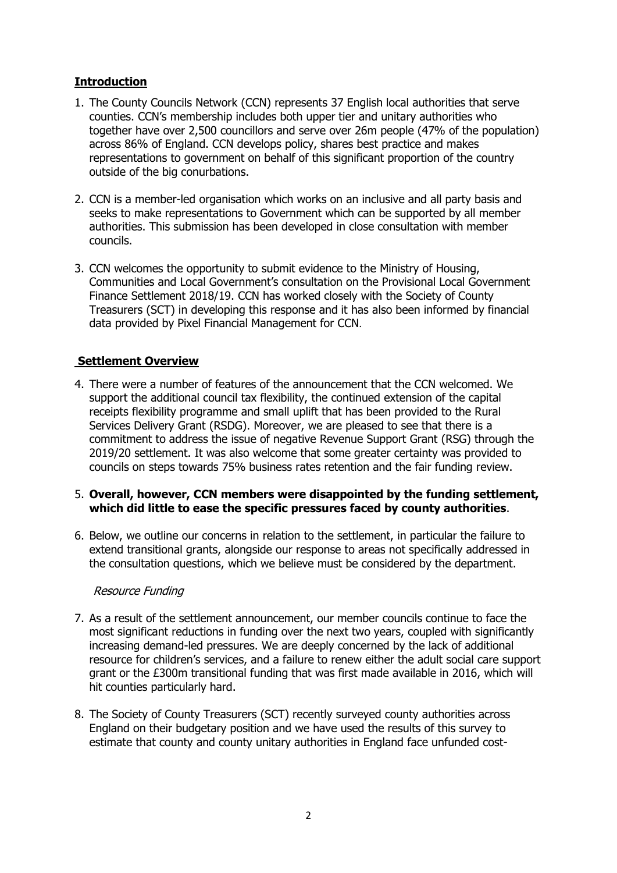# **Introduction**

- 1. The County Councils Network (CCN) represents 37 English local authorities that serve counties. CCN's membership includes both upper tier and unitary authorities who together have over 2,500 councillors and serve over 26m people (47% of the population) across 86% of England. CCN develops policy, shares best practice and makes representations to government on behalf of this significant proportion of the country outside of the big conurbations.
- 2. CCN is a member-led organisation which works on an inclusive and all party basis and seeks to make representations to Government which can be supported by all member authorities. This submission has been developed in close consultation with member councils.
- 3. CCN welcomes the opportunity to submit evidence to the Ministry of Housing, Communities and Local Government's consultation on the Provisional Local Government Finance Settlement 2018/19. CCN has worked closely with the Society of County Treasurers (SCT) in developing this response and it has also been informed by financial data provided by Pixel Financial Management for CCN.

# **Settlement Overview**

4. There were a number of features of the announcement that the CCN welcomed. We support the additional council tax flexibility, the continued extension of the capital receipts flexibility programme and small uplift that has been provided to the Rural Services Delivery Grant (RSDG). Moreover, we are pleased to see that there is a commitment to address the issue of negative Revenue Support Grant (RSG) through the 2019/20 settlement. It was also welcome that some greater certainty was provided to councils on steps towards 75% business rates retention and the fair funding review.

## 5. **Overall, however, CCN members were disappointed by the funding settlement, which did little to ease the specific pressures faced by county authorities**.

6. Below, we outline our concerns in relation to the settlement, in particular the failure to extend transitional grants, alongside our response to areas not specifically addressed in the consultation questions, which we believe must be considered by the department.

#### Resource Funding

- 7. As a result of the settlement announcement, our member councils continue to face the most significant reductions in funding over the next two years, coupled with significantly increasing demand-led pressures. We are deeply concerned by the lack of additional resource for children's services, and a failure to renew either the adult social care support grant or the £300m transitional funding that was first made available in 2016, which will hit counties particularly hard.
- 8. The Society of County Treasurers (SCT) recently surveyed county authorities across England on their budgetary position and we have used the results of this survey to estimate that county and county unitary authorities in England face unfunded cost-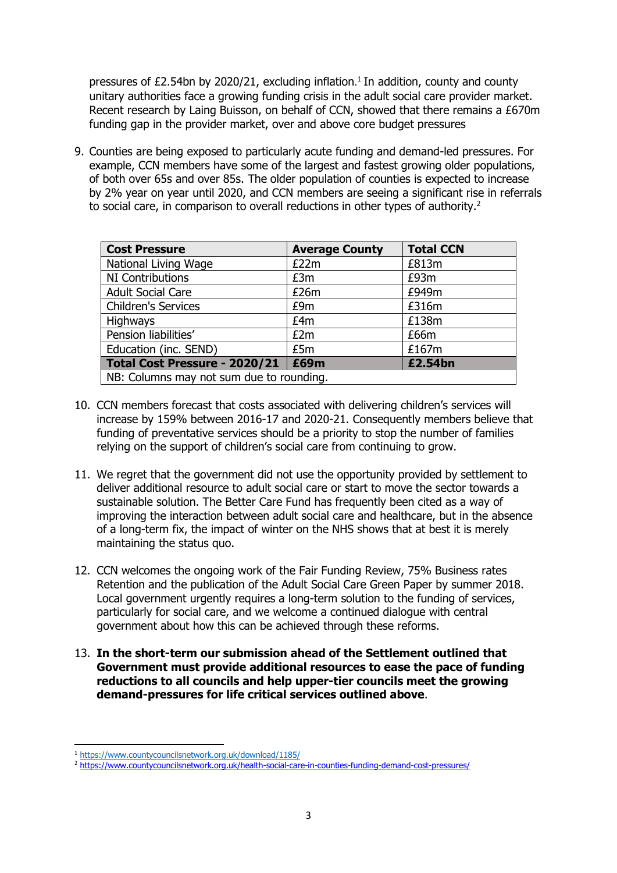pressures of £2.54bn by 2020/21, excluding inflation. 1 In addition, county and county unitary authorities face a growing funding crisis in the adult social care provider market. Recent research by Laing Buisson, on behalf of CCN, showed that there remains a £670m funding gap in the provider market, over and above core budget pressures

9. Counties are being exposed to particularly acute funding and demand-led pressures. For example, CCN members have some of the largest and fastest growing older populations, of both over 65s and over 85s. The older population of counties is expected to increase by 2% year on year until 2020, and CCN members are seeing a significant rise in referrals to social care, in comparison to overall reductions in other types of authority.<sup>2</sup>

| <b>Cost Pressure</b>                     | <b>Average County</b> | <b>Total CCN</b> |
|------------------------------------------|-----------------------|------------------|
| National Living Wage                     | E22m                  | £813m            |
| NI Contributions                         | £3m                   | £93m             |
| <b>Adult Social Care</b>                 | £26m                  | £949m            |
| <b>Children's Services</b>               | £9m                   | £316m            |
| <b>Highways</b>                          | £4m                   | £138m            |
| Pension liabilities'                     | E2m                   | £66m             |
| Education (inc. SEND)                    | £5m                   | £167m            |
| Total Cost Pressure - 2020/21            | £69m                  | £2.54bn          |
| NB: Columns may not sum due to rounding. |                       |                  |

- 10. CCN members forecast that costs associated with delivering children's services will increase by 159% between 2016-17 and 2020-21. Consequently members believe that funding of preventative services should be a priority to stop the number of families relying on the support of children's social care from continuing to grow.
- 11. We regret that the government did not use the opportunity provided by settlement to deliver additional resource to adult social care or start to move the sector towards a sustainable solution. The Better Care Fund has frequently been cited as a way of improving the interaction between adult social care and healthcare, but in the absence of a long-term fix, the impact of winter on the NHS shows that at best it is merely maintaining the status quo.
- 12. CCN welcomes the ongoing work of the Fair Funding Review, 75% Business rates Retention and the publication of the Adult Social Care Green Paper by summer 2018. Local government urgently requires a long-term solution to the funding of services, particularly for social care, and we welcome a continued dialogue with central government about how this can be achieved through these reforms.
- 13. **In the short-term our submission ahead of the Settlement outlined that Government must provide additional resources to ease the pace of funding reductions to all councils and help upper-tier councils meet the growing demand-pressures for life critical services outlined above**.

**<sup>.</sup>** <sup>1</sup> <https://www.countycouncilsnetwork.org.uk/download/1185/>

<sup>2</sup> <https://www.countycouncilsnetwork.org.uk/health-social-care-in-counties-funding-demand-cost-pressures/>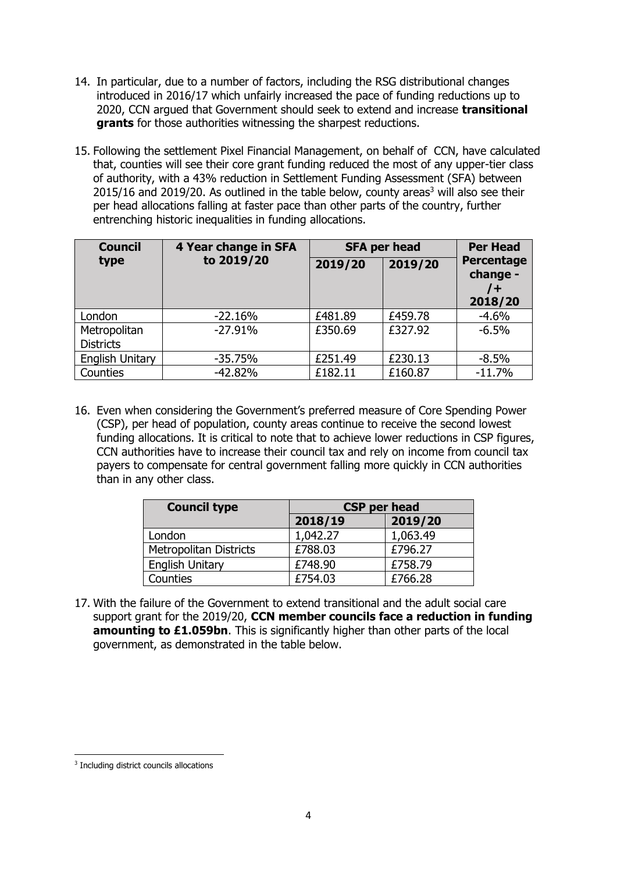- 14. In particular, due to a number of factors, including the RSG distributional changes introduced in 2016/17 which unfairly increased the pace of funding reductions up to 2020, CCN argued that Government should seek to extend and increase **transitional grants** for those authorities witnessing the sharpest reductions.
- 15. Following the settlement Pixel Financial Management, on behalf of CCN, have calculated that, counties will see their core grant funding reduced the most of any upper-tier class of authority, with a 43% reduction in Settlement Funding Assessment (SFA) between 2015/16 and 2019/20. As outlined in the table below, county areas<sup>3</sup> will also see their per head allocations falling at faster pace than other parts of the country, further entrenching historic inequalities in funding allocations.

| <b>Council</b>                   | 4 Year change in SFA | <b>SFA per head</b> |         | <b>Per Head</b>                                |
|----------------------------------|----------------------|---------------------|---------|------------------------------------------------|
| type                             | to 2019/20           | 2019/20             | 2019/20 | <b>Percentage</b><br>change -<br>7+<br>2018/20 |
| London                           | $-22.16%$            | £481.89             | £459.78 | $-4.6%$                                        |
| Metropolitan<br><b>Districts</b> | $-27.91%$            | £350.69             | £327.92 | $-6.5%$                                        |
| <b>English Unitary</b>           | $-35.75%$            | £251.49             | £230.13 | $-8.5%$                                        |
| Counties                         | $-42.82%$            | £182.11             | £160.87 | $-11.7%$                                       |

16. Even when considering the Government's preferred measure of Core Spending Power (CSP), per head of population, county areas continue to receive the second lowest funding allocations. It is critical to note that to achieve lower reductions in CSP figures, CCN authorities have to increase their council tax and rely on income from council tax payers to compensate for central government falling more quickly in CCN authorities than in any other class.

| <b>Council type</b>           | <b>CSP per head</b> |          |
|-------------------------------|---------------------|----------|
|                               | 2018/19             | 2019/20  |
| London                        | 1,042.27            | 1,063.49 |
| <b>Metropolitan Districts</b> | £788.03             | £796.27  |
| <b>English Unitary</b>        | £748.90             | £758.79  |
| Counties                      | £754.03             | £766.28  |

17. With the failure of the Government to extend transitional and the adult social care support grant for the 2019/20, **CCN member councils face a reduction in funding amounting to £1.059bn**. This is significantly higher than other parts of the local government, as demonstrated in the table below.

**<sup>.</sup>** <sup>3</sup> Including district councils allocations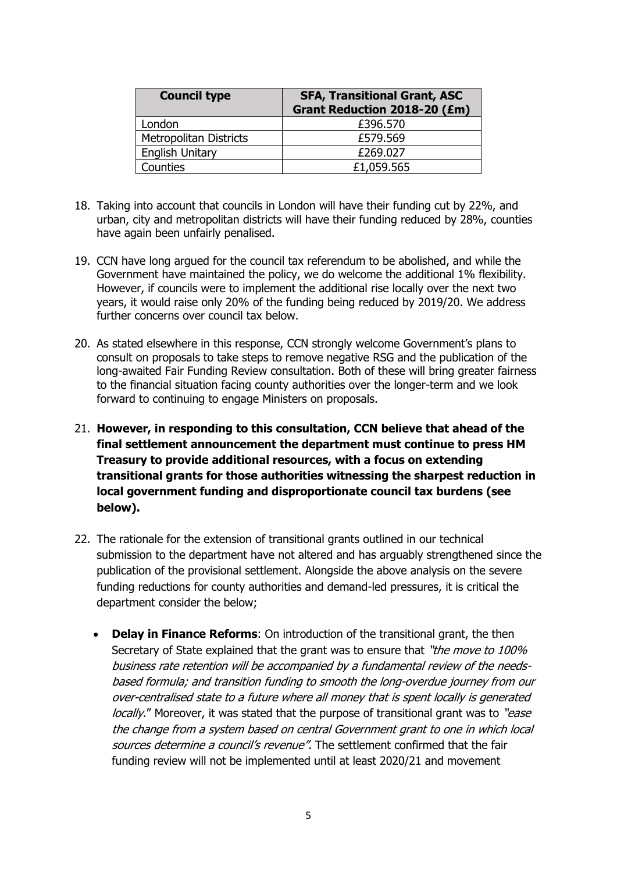| <b>Council type</b>           | <b>SFA, Transitional Grant, ASC</b><br><b>Grant Reduction 2018-20 (£m)</b> |
|-------------------------------|----------------------------------------------------------------------------|
| London                        | £396.570                                                                   |
| <b>Metropolitan Districts</b> | £579.569                                                                   |
| <b>English Unitary</b>        | £269.027                                                                   |
| Counties                      | £1,059.565                                                                 |

- 18. Taking into account that councils in London will have their funding cut by 22%, and urban, city and metropolitan districts will have their funding reduced by 28%, counties have again been unfairly penalised.
- 19. CCN have long argued for the council tax referendum to be abolished, and while the Government have maintained the policy, we do welcome the additional 1% flexibility. However, if councils were to implement the additional rise locally over the next two years, it would raise only 20% of the funding being reduced by 2019/20. We address further concerns over council tax below.
- 20. As stated elsewhere in this response, CCN strongly welcome Government's plans to consult on proposals to take steps to remove negative RSG and the publication of the long-awaited Fair Funding Review consultation. Both of these will bring greater fairness to the financial situation facing county authorities over the longer-term and we look forward to continuing to engage Ministers on proposals.
- 21. **However, in responding to this consultation, CCN believe that ahead of the final settlement announcement the department must continue to press HM Treasury to provide additional resources, with a focus on extending transitional grants for those authorities witnessing the sharpest reduction in local government funding and disproportionate council tax burdens (see below).**
- 22. The rationale for the extension of transitional grants outlined in our technical submission to the department have not altered and has arguably strengthened since the publication of the provisional settlement. Alongside the above analysis on the severe funding reductions for county authorities and demand-led pressures, it is critical the department consider the below;
	- **Delay in Finance Reforms**: On introduction of the transitional grant, the then Secretary of State explained that the grant was to ensure that "the move to 100% business rate retention will be accompanied by a fundamental review of the needsbased formula; and transition funding to smooth the long-overdue journey from our over-centralised state to a future where all money that is spent locally is generated locally." Moreover, it was stated that the purpose of transitional grant was to "ease the change from a system based on central Government grant to one in which local sources determine a council's revenue". The settlement confirmed that the fair funding review will not be implemented until at least 2020/21 and movement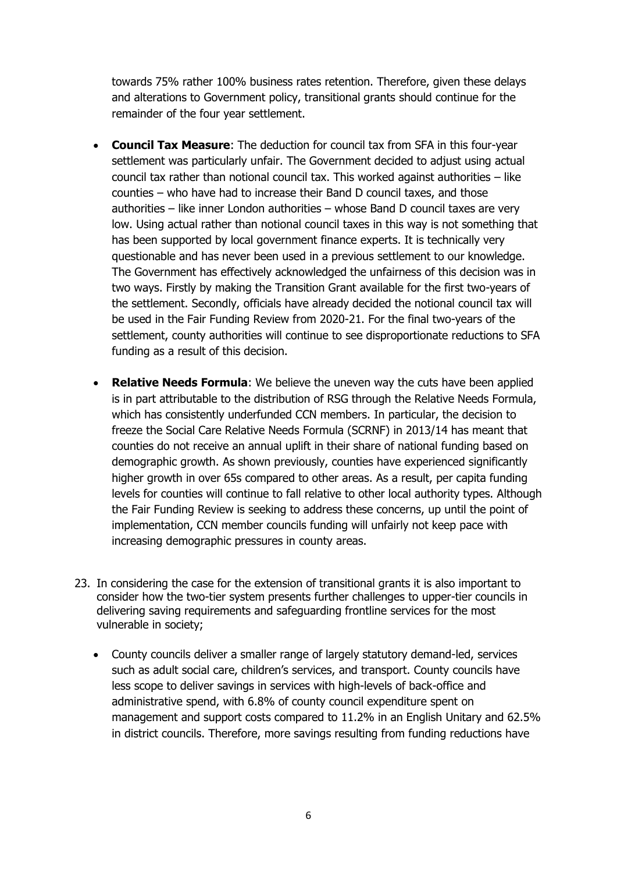towards 75% rather 100% business rates retention. Therefore, given these delays and alterations to Government policy, transitional grants should continue for the remainder of the four year settlement.

- **Council Tax Measure**: The deduction for council tax from SFA in this four-year settlement was particularly unfair. The Government decided to adjust using actual council tax rather than notional council tax. This worked against authorities – like counties – who have had to increase their Band D council taxes, and those authorities – like inner London authorities – whose Band D council taxes are very low. Using actual rather than notional council taxes in this way is not something that has been supported by local government finance experts. It is technically very questionable and has never been used in a previous settlement to our knowledge. The Government has effectively acknowledged the unfairness of this decision was in two ways. Firstly by making the Transition Grant available for the first two-years of the settlement. Secondly, officials have already decided the notional council tax will be used in the Fair Funding Review from 2020-21. For the final two-years of the settlement, county authorities will continue to see disproportionate reductions to SFA funding as a result of this decision.
- **Relative Needs Formula**: We believe the uneven way the cuts have been applied is in part attributable to the distribution of RSG through the Relative Needs Formula, which has consistently underfunded CCN members. In particular, the decision to freeze the Social Care Relative Needs Formula (SCRNF) in 2013/14 has meant that counties do not receive an annual uplift in their share of national funding based on demographic growth. As shown previously, counties have experienced significantly higher growth in over 65s compared to other areas. As a result, per capita funding levels for counties will continue to fall relative to other local authority types. Although the Fair Funding Review is seeking to address these concerns, up until the point of implementation, CCN member councils funding will unfairly not keep pace with increasing demographic pressures in county areas.
- 23. In considering the case for the extension of transitional grants it is also important to consider how the two-tier system presents further challenges to upper-tier councils in delivering saving requirements and safeguarding frontline services for the most vulnerable in society;
	- County councils deliver a smaller range of largely statutory demand-led, services such as adult social care, children's services, and transport. County councils have less scope to deliver savings in services with high-levels of back-office and administrative spend, with 6.8% of county council expenditure spent on management and support costs compared to 11.2% in an English Unitary and 62.5% in district councils. Therefore, more savings resulting from funding reductions have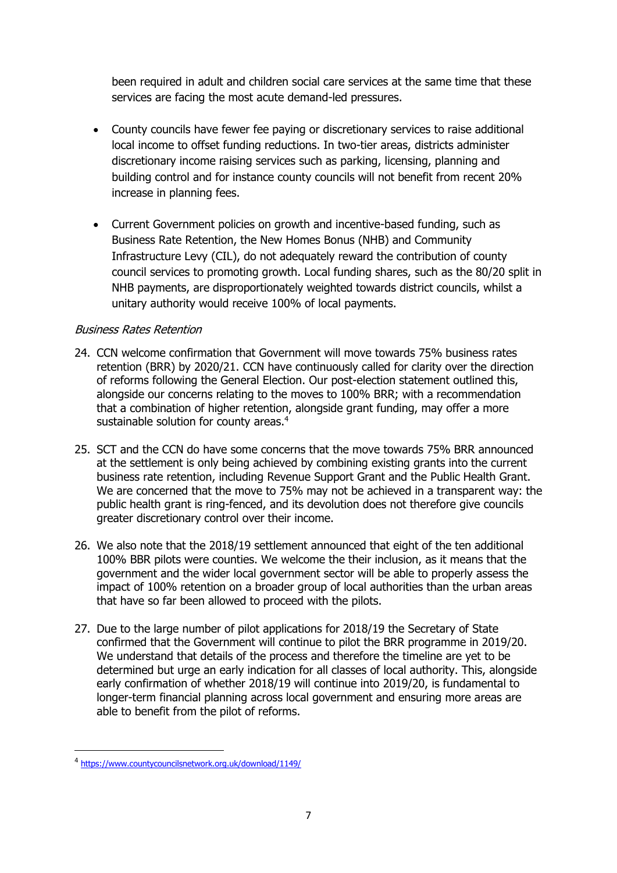been required in adult and children social care services at the same time that these services are facing the most acute demand-led pressures.

- County councils have fewer fee paying or discretionary services to raise additional local income to offset funding reductions. In two-tier areas, districts administer discretionary income raising services such as parking, licensing, planning and building control and for instance county councils will not benefit from recent 20% increase in planning fees.
- Current Government policies on growth and incentive-based funding, such as Business Rate Retention, the New Homes Bonus (NHB) and Community Infrastructure Levy (CIL), do not adequately reward the contribution of county council services to promoting growth. Local funding shares, such as the 80/20 split in NHB payments, are disproportionately weighted towards district councils, whilst a unitary authority would receive 100% of local payments.

## Business Rates Retention

- 24. CCN welcome confirmation that Government will move towards 75% business rates retention (BRR) by 2020/21. CCN have continuously called for clarity over the direction of reforms following the General Election. Our post-election statement outlined this, alongside our concerns relating to the moves to 100% BRR; with a recommendation that a combination of higher retention, alongside grant funding, may offer a more sustainable solution for county areas.<sup>4</sup>
- 25. SCT and the CCN do have some concerns that the move towards 75% BRR announced at the settlement is only being achieved by combining existing grants into the current business rate retention, including Revenue Support Grant and the Public Health Grant. We are concerned that the move to 75% may not be achieved in a transparent way: the public health grant is ring-fenced, and its devolution does not therefore give councils greater discretionary control over their income.
- 26. We also note that the 2018/19 settlement announced that eight of the ten additional 100% BBR pilots were counties. We welcome the their inclusion, as it means that the government and the wider local government sector will be able to properly assess the impact of 100% retention on a broader group of local authorities than the urban areas that have so far been allowed to proceed with the pilots.
- 27. Due to the large number of pilot applications for 2018/19 the Secretary of State confirmed that the Government will continue to pilot the BRR programme in 2019/20. We understand that details of the process and therefore the timeline are yet to be determined but urge an early indication for all classes of local authority. This, alongside early confirmation of whether 2018/19 will continue into 2019/20, is fundamental to longer-term financial planning across local government and ensuring more areas are able to benefit from the pilot of reforms.

 $\overline{\phantom{a}}$ 

<sup>4</sup> <https://www.countycouncilsnetwork.org.uk/download/1149/>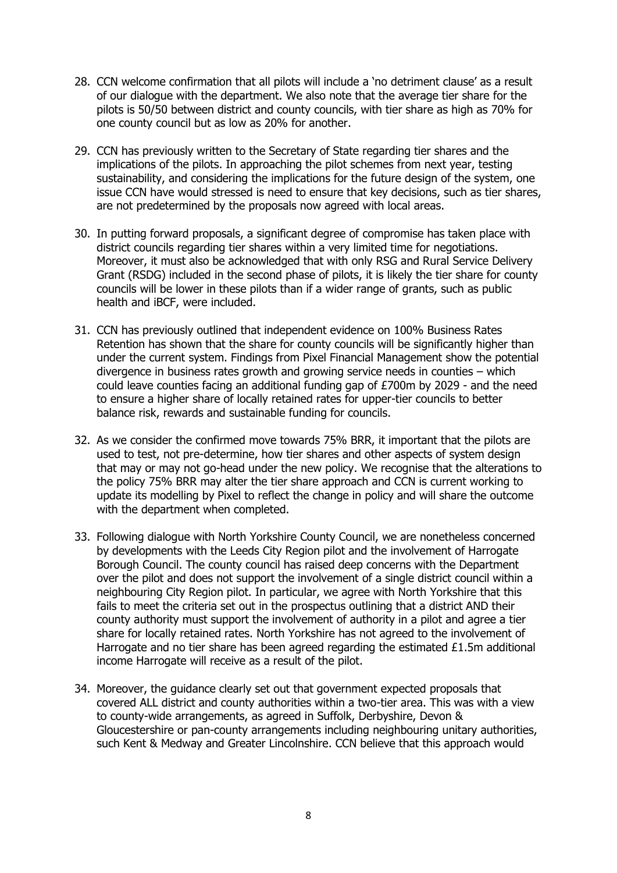- 28. CCN welcome confirmation that all pilots will include a 'no detriment clause' as a result of our dialogue with the department. We also note that the average tier share for the pilots is 50/50 between district and county councils, with tier share as high as 70% for one county council but as low as 20% for another.
- 29. CCN has previously written to the Secretary of State regarding tier shares and the implications of the pilots. In approaching the pilot schemes from next year, testing sustainability, and considering the implications for the future design of the system, one issue CCN have would stressed is need to ensure that key decisions, such as tier shares, are not predetermined by the proposals now agreed with local areas.
- 30. In putting forward proposals, a significant degree of compromise has taken place with district councils regarding tier shares within a very limited time for negotiations. Moreover, it must also be acknowledged that with only RSG and Rural Service Delivery Grant (RSDG) included in the second phase of pilots, it is likely the tier share for county councils will be lower in these pilots than if a wider range of grants, such as public health and iBCF, were included.
- 31. CCN has previously outlined that independent evidence on 100% Business Rates Retention has shown that the share for county councils will be significantly higher than under the current system. Findings from Pixel Financial Management show the potential divergence in business rates growth and growing service needs in counties – which could leave counties facing an additional funding gap of £700m by 2029 - and the need to ensure a higher share of locally retained rates for upper-tier councils to better balance risk, rewards and sustainable funding for councils.
- 32. As we consider the confirmed move towards 75% BRR, it important that the pilots are used to test, not pre-determine, how tier shares and other aspects of system design that may or may not go-head under the new policy. We recognise that the alterations to the policy 75% BRR may alter the tier share approach and CCN is current working to update its modelling by Pixel to reflect the change in policy and will share the outcome with the department when completed.
- 33. Following dialogue with North Yorkshire County Council, we are nonetheless concerned by developments with the Leeds City Region pilot and the involvement of Harrogate Borough Council. The county council has raised deep concerns with the Department over the pilot and does not support the involvement of a single district council within a neighbouring City Region pilot. In particular, we agree with North Yorkshire that this fails to meet the criteria set out in the prospectus outlining that a district AND their county authority must support the involvement of authority in a pilot and agree a tier share for locally retained rates. North Yorkshire has not agreed to the involvement of Harrogate and no tier share has been agreed regarding the estimated £1.5m additional income Harrogate will receive as a result of the pilot.
- 34. Moreover, the guidance clearly set out that government expected proposals that covered ALL district and county authorities within a two-tier area. This was with a view to county-wide arrangements, as agreed in Suffolk, Derbyshire, Devon & Gloucestershire or pan-county arrangements including neighbouring unitary authorities, such Kent & Medway and Greater Lincolnshire. CCN believe that this approach would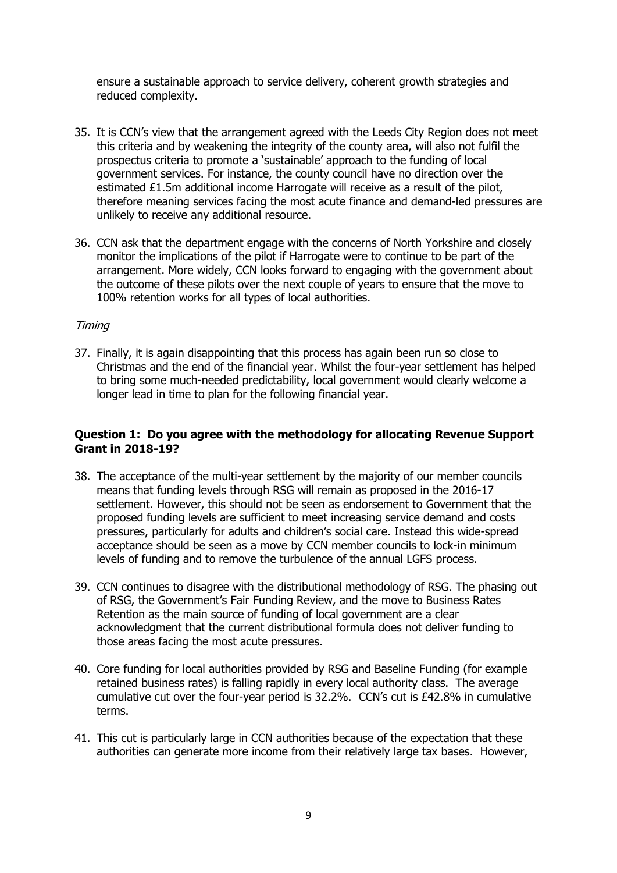ensure a sustainable approach to service delivery, coherent growth strategies and reduced complexity.

- 35. It is CCN's view that the arrangement agreed with the Leeds City Region does not meet this criteria and by weakening the integrity of the county area, will also not fulfil the prospectus criteria to promote a 'sustainable' approach to the funding of local government services. For instance, the county council have no direction over the estimated £1.5m additional income Harrogate will receive as a result of the pilot, therefore meaning services facing the most acute finance and demand-led pressures are unlikely to receive any additional resource.
- 36. CCN ask that the department engage with the concerns of North Yorkshire and closely monitor the implications of the pilot if Harrogate were to continue to be part of the arrangement. More widely, CCN looks forward to engaging with the government about the outcome of these pilots over the next couple of years to ensure that the move to 100% retention works for all types of local authorities.

#### **Timing**

37. Finally, it is again disappointing that this process has again been run so close to Christmas and the end of the financial year. Whilst the four-year settlement has helped to bring some much-needed predictability, local government would clearly welcome a longer lead in time to plan for the following financial year.

## **Question 1: Do you agree with the methodology for allocating Revenue Support Grant in 2018-19?**

- 38. The acceptance of the multi-year settlement by the majority of our member councils means that funding levels through RSG will remain as proposed in the 2016-17 settlement. However, this should not be seen as endorsement to Government that the proposed funding levels are sufficient to meet increasing service demand and costs pressures, particularly for adults and children's social care. Instead this wide-spread acceptance should be seen as a move by CCN member councils to lock-in minimum levels of funding and to remove the turbulence of the annual LGFS process.
- 39. CCN continues to disagree with the distributional methodology of RSG. The phasing out of RSG, the Government's Fair Funding Review, and the move to Business Rates Retention as the main source of funding of local government are a clear acknowledgment that the current distributional formula does not deliver funding to those areas facing the most acute pressures.
- 40. Core funding for local authorities provided by RSG and Baseline Funding (for example retained business rates) is falling rapidly in every local authority class. The average cumulative cut over the four-year period is 32.2%. CCN's cut is £42.8% in cumulative terms.
- 41. This cut is particularly large in CCN authorities because of the expectation that these authorities can generate more income from their relatively large tax bases. However,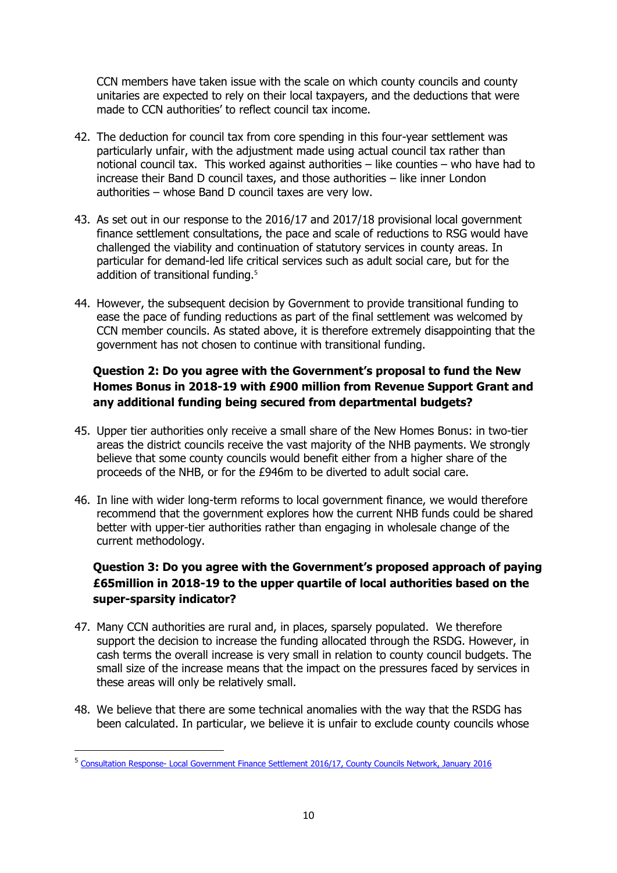CCN members have taken issue with the scale on which county councils and county unitaries are expected to rely on their local taxpayers, and the deductions that were made to CCN authorities' to reflect council tax income.

- 42. The deduction for council tax from core spending in this four-year settlement was particularly unfair, with the adjustment made using actual council tax rather than notional council tax. This worked against authorities – like counties – who have had to increase their Band D council taxes, and those authorities – like inner London authorities – whose Band D council taxes are very low.
- 43. As set out in our response to the 2016/17 and 2017/18 provisional local government finance settlement consultations, the pace and scale of reductions to RSG would have challenged the viability and continuation of statutory services in county areas. In particular for demand-led life critical services such as adult social care, but for the addition of transitional funding.<sup>5</sup>
- 44. However, the subsequent decision by Government to provide transitional funding to ease the pace of funding reductions as part of the final settlement was welcomed by CCN member councils. As stated above, it is therefore extremely disappointing that the government has not chosen to continue with transitional funding.

# **Question 2: Do you agree with the Government's proposal to fund the New Homes Bonus in 2018-19 with £900 million from Revenue Support Grant and any additional funding being secured from departmental budgets?**

- 45. Upper tier authorities only receive a small share of the New Homes Bonus: in two-tier areas the district councils receive the vast majority of the NHB payments. We strongly believe that some county councils would benefit either from a higher share of the proceeds of the NHB, or for the £946m to be diverted to adult social care.
- 46. In line with wider long-term reforms to local government finance, we would therefore recommend that the government explores how the current NHB funds could be shared better with upper-tier authorities rather than engaging in wholesale change of the current methodology.

# **Question 3: Do you agree with the Government's proposed approach of paying £65million in 2018-19 to the upper quartile of local authorities based on the super-sparsity indicator?**

- 47. Many CCN authorities are rural and, in places, sparsely populated. We therefore support the decision to increase the funding allocated through the RSDG. However, in cash terms the overall increase is very small in relation to county council budgets. The small size of the increase means that the impact on the pressures faced by services in these areas will only be relatively small.
- 48. We believe that there are some technical anomalies with the way that the RSDG has been calculated. In particular, we believe it is unfair to exclude county councils whose

 $\overline{\phantom{a}}$ 

<sup>&</sup>lt;sup>5</sup> Consultation Response- [Local Government Finance Settlement 2016/17, County Councils Network, January 2016](http://www.countycouncilsnetwork.org.uk/library/july-2013/file115/)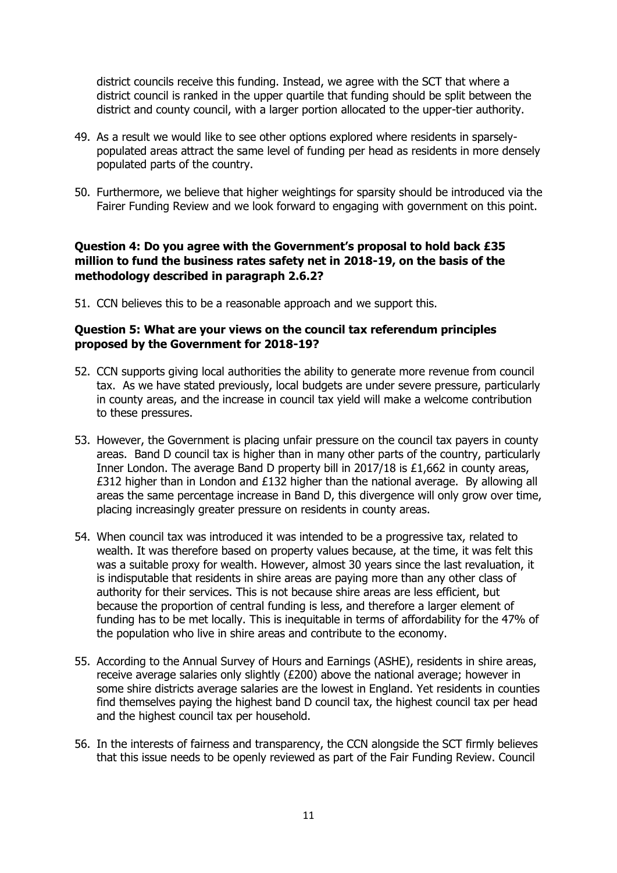district councils receive this funding. Instead, we agree with the SCT that where a district council is ranked in the upper quartile that funding should be split between the district and county council, with a larger portion allocated to the upper-tier authority.

- 49. As a result we would like to see other options explored where residents in sparselypopulated areas attract the same level of funding per head as residents in more densely populated parts of the country.
- 50. Furthermore, we believe that higher weightings for sparsity should be introduced via the Fairer Funding Review and we look forward to engaging with government on this point.

## **Question 4: Do you agree with the Government's proposal to hold back £35 million to fund the business rates safety net in 2018-19, on the basis of the methodology described in paragraph 2.6.2?**

51. CCN believes this to be a reasonable approach and we support this.

#### **Question 5: What are your views on the council tax referendum principles proposed by the Government for 2018-19?**

- 52. CCN supports giving local authorities the ability to generate more revenue from council tax. As we have stated previously, local budgets are under severe pressure, particularly in county areas, and the increase in council tax yield will make a welcome contribution to these pressures.
- 53. However, the Government is placing unfair pressure on the council tax payers in county areas. Band D council tax is higher than in many other parts of the country, particularly Inner London. The average Band D property bill in 2017/18 is £1,662 in county areas, £312 higher than in London and £132 higher than the national average. By allowing all areas the same percentage increase in Band D, this divergence will only grow over time, placing increasingly greater pressure on residents in county areas.
- 54. When council tax was introduced it was intended to be a progressive tax, related to wealth. It was therefore based on property values because, at the time, it was felt this was a suitable proxy for wealth. However, almost 30 years since the last revaluation, it is indisputable that residents in shire areas are paying more than any other class of authority for their services. This is not because shire areas are less efficient, but because the proportion of central funding is less, and therefore a larger element of funding has to be met locally. This is inequitable in terms of affordability for the 47% of the population who live in shire areas and contribute to the economy.
- 55. According to the Annual Survey of Hours and Earnings (ASHE), residents in shire areas, receive average salaries only slightly (£200) above the national average; however in some shire districts average salaries are the lowest in England. Yet residents in counties find themselves paying the highest band D council tax, the highest council tax per head and the highest council tax per household.
- 56. In the interests of fairness and transparency, the CCN alongside the SCT firmly believes that this issue needs to be openly reviewed as part of the Fair Funding Review. Council